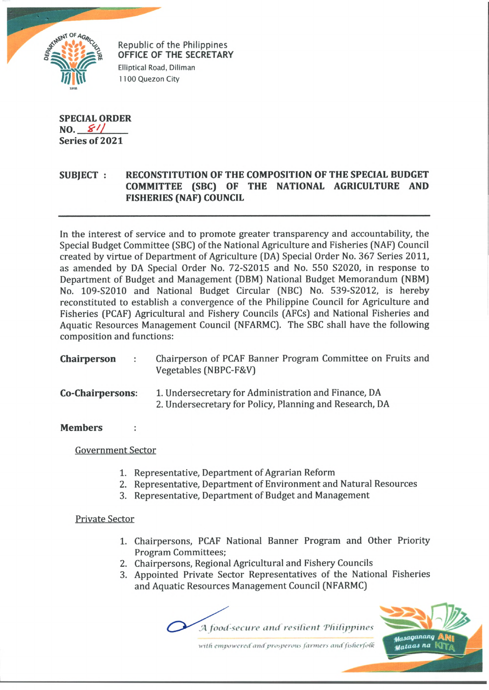

Republic of the Philippines **OFFICE OF THE SECRETARY** Elliptical Road, Diliman 1100 Quezon City

**SPECIAL ORDER NO.**  $\frac{\mathcal{L}^{\prime}}{2}$ **Series of 2021**

# **SUBJECT : RECONSTITUTION OF THE COMPOSITION OF THE SPECIAL BUDGET COMMITTEE (SBC) OF THE NATIONAL AGRICULTURE AND FISHERIES (NAF) COUNCIL**

In the interest of service and to promote greater transparency and accountability, the Special Budget Committee (SBC) of the National Agriculture and Fisheries (NAF) Council created by virtue of Department of Agriculture (DA) Special Order No. 367 Series 2011, as amended by DA Special Order No. 72-S2015 and No. 550 S2020, in response to Department of Budget and Management (DBM) National Budget Memorandum (NBM) No. 109-S2010 and National Budget Circular (NBC) No. 539-S2012, is hereby reconstituted to establish a convergence of the Philippine Council for Agriculture and Fisheries (PCAF) Agricultural and Fishery Councils (AFCs) and National Fisheries and Aquatic Resources Management Council (NFARMC). The SBC shall have the following composition and functions:

| <b>Chairperson</b> | Chairperson of PCAF Banner Program Committee on Fruits and |
|--------------------|------------------------------------------------------------|
|                    | Vegetables (NBPC-F&V)                                      |

### **Co-Chairpersons:** 1. Undersecretary for Administration and Finance, DA 2. Undersecretary for Policy, Planning and Research, DA

### **Members**

Government Sector

- 1. Representative, Department of Agrarian Reform
- 2. Representative, Department of Environment and Natural Resources
- 3. Representative, Department of Budget and Management

## Private Sector

- 1. Chairpersons, PCAF National Banner Program and Other Priority Program Committees;
- 2. Chairpersons, Regional Agricultural and Fishery Councils
- 3. Appointed Private Sector Representatives of the National Fisheries and Aquatic Resources Management Council (NFARMC)

.A *food-secure and resilient 'Philippines*



with empowered and prosperous farmers and fisherfolk